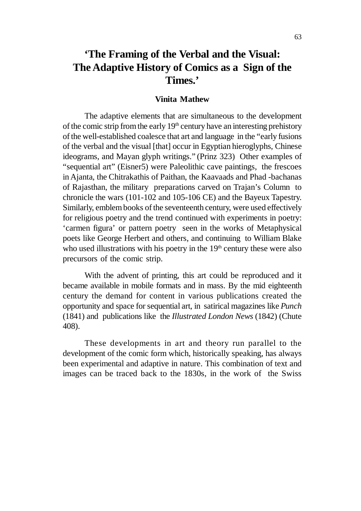# **'The Framing of the Verbal and the Visual: The Adaptive History of Comics as a Sign of the Times.'**

#### **Vinita Mathew**

The adaptive elements that are simultaneous to the development of the comic strip from the early  $19<sup>th</sup>$  century have an interesting prehistory of the well-established coalesce that art and language in the "early fusions of the verbal and the visual [that] occur in Egyptian hieroglyphs, Chinese ideograms, and Mayan glyph writings." (Prinz 323) Other examples of "sequential art" (Eisner5) were Paleolithic cave paintings, the frescoes in Ajanta, the Chitrakathis of Paithan, the Kaavaads and Phad -bachanas of Rajasthan, the military preparations carved on Trajan's Column to chronicle the wars (101-102 and 105-106 CE) and the Bayeux Tapestry. Similarly, emblem books of the seventeenth century, were used effectively for religious poetry and the trend continued with experiments in poetry: 'carmen figura' or pattern poetry seen in the works of Metaphysical poets like George Herbert and others, and continuing to William Blake who used illustrations with his poetry in the  $19<sup>th</sup>$  century these were also precursors of the comic strip.

With the advent of printing, this art could be reproduced and it became available in mobile formats and in mass. By the mid eighteenth century the demand for content in various publications created the opportunity and space for sequential art, in satirical magazines like *Punch* (1841) and publications like the *Illustrated London News* (1842) (Chute 408).

These developments in art and theory run parallel to the development of the comic form which, historically speaking, has always been experimental and adaptive in nature. This combination of text and images can be traced back to the 1830s, in the work of the Swiss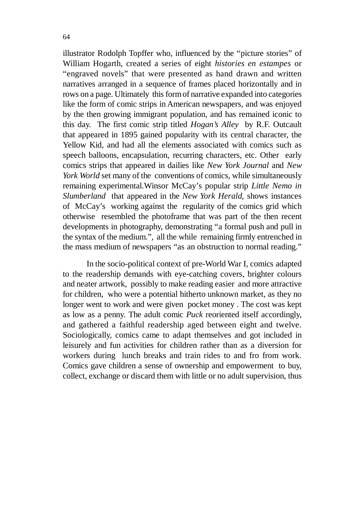illustrator Rodolph Topffer who, influenced by the "picture stories" of William Hogarth, created a series of eight *histories en estampes* or "engraved novels" that were presented as hand drawn and written narratives arranged in a sequence of frames placed horizontally and in rows on a page. Ultimately this form of narrative expanded into categories like the form of comic strips in American newspapers, and was enjoyed by the then growing immigrant population, and has remained iconic to this day. The first comic strip titled *Hogan's Alley* by R.F. Outcault that appeared in 1895 gained popularity with its central character, the Yellow Kid, and had all the elements associated with comics such as speech balloons, encapsulation, recurring characters, etc. Other early comics strips that appeared in dailies like *New York Journal* and *New York World* set many of the conventions of comics, while simultaneously remaining experimental.Winsor McCay's popular strip *Little Nemo in Slumberland* that appeared in the *New York Herald,* shows instances of McCay's working against the regularity of the comics grid which otherwise resembled the photoframe that was part of the then recent developments in photography, demonstrating "a formal push and pull in the syntax of the medium.", all the while remaining firmly entrenched in the mass medium of newspapers "as an obstruction to normal reading."

 In the socio-political context of pre-World War I, comics adapted to the readership demands with eye-catching covers, brighter colours and neater artwork, possibly to make reading easier and more attractive for children, who were a potential hitherto unknown market, as they no longer went to work and were given pocket money . The cost was kept as low as a penny. The adult comic *Puck* reoriented itself accordingly, and gathered a faithful readership aged between eight and twelve. Sociologically, comics came to adapt themselves and got included in leisurely and fun activities for children rather than as a diversion for workers during lunch breaks and train rides to and fro from work. Comics gave children a sense of ownership and empowerment to buy, collect, exchange or discard them with little or no adult supervision, thus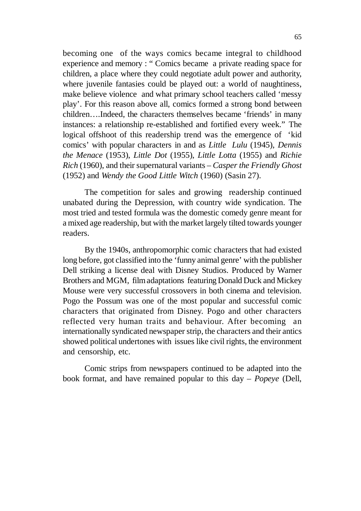becoming one of the ways comics became integral to childhood experience and memory : " Comics became a private reading space for children, a place where they could negotiate adult power and authority, where juvenile fantasies could be played out: a world of naughtiness, make believe violence and what primary school teachers called 'messy play'. For this reason above all, comics formed a strong bond between children….Indeed, the characters themselves became 'friends' in many instances: a relationship re-established and fortified every week." The logical offshoot of this readership trend was the emergence of 'kid comics' with popular characters in and as *Little Lulu* (1945), *Dennis the Menace* (1953), *Little Dot* (1955), *Little Lotta* (1955) and *Richie Rich* (1960), and their supernatural variants – *Casper the Friendly Ghost* (1952) and *Wendy the Good Little Witch* (1960) (Sasin 27).

The competition for sales and growing readership continued unabated during the Depression, with country wide syndication. The most tried and tested formula was the domestic comedy genre meant for a mixed age readership, but with the market largely tilted towards younger readers.

By the 1940s, anthropomorphic comic characters that had existed long before, got classified into the 'funny animal genre' with the publisher Dell striking a license deal with Disney Studios. Produced by Warner Brothers and MGM, film adaptations featuring Donald Duck and Mickey Mouse were very successful crossovers in both cinema and television. Pogo the Possum was one of the most popular and successful comic characters that originated from Disney. Pogo and other characters reflected very human traits and behaviour. After becoming an internationally syndicated newspaper strip, the characters and their antics showed political undertones with issues like civil rights, the environment and censorship, etc.

Comic strips from newspapers continued to be adapted into the book format, and have remained popular to this day – *Popeye* (Dell,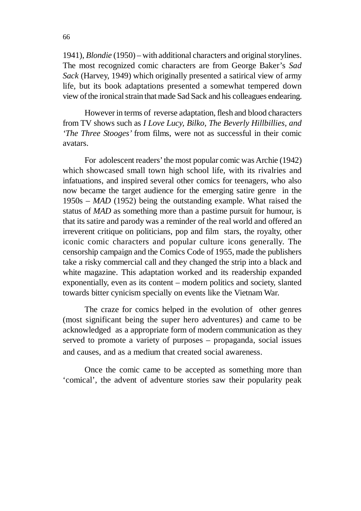1941), *Blondie* (1950) – with additional characters and original storylines. The most recognized comic characters are from George Baker's *Sad Sack* (Harvey, 1949) which originally presented a satirical view of army life, but its book adaptations presented a somewhat tempered down view of the ironical strain that made Sad Sack and his colleagues endearing.

However in terms of reverse adaptation, flesh and blood characters from TV shows such as *I Love Lucy, Bilko, The Beverly Hillbillies, and 'The Three Stooges'* from films, were not as successful in their comic avatars.

For adolescent readers' the most popular comic was Archie (1942) which showcased small town high school life, with its rivalries and infatuations, and inspired several other comics for teenagers, who also now became the target audience for the emerging satire genre in the 1950s – *MAD* (1952) being the outstanding example. What raised the status of *MAD* as something more than a pastime pursuit for humour, is that its satire and parody was a reminder of the real world and offered an irreverent critique on politicians, pop and film stars, the royalty, other iconic comic characters and popular culture icons generally. The censorship campaign and the Comics Code of 1955, made the publishers take a risky commercial call and they changed the strip into a black and white magazine. This adaptation worked and its readership expanded exponentially, even as its content – modern politics and society, slanted towards bitter cynicism specially on events like the Vietnam War.

The craze for comics helped in the evolution of other genres (most significant being the super hero adventures) and came to be acknowledged as a appropriate form of modern communication as they served to promote a variety of purposes – propaganda, social issues and causes, and as a medium that created social awareness.

Once the comic came to be accepted as something more than 'comical', the advent of adventure stories saw their popularity peak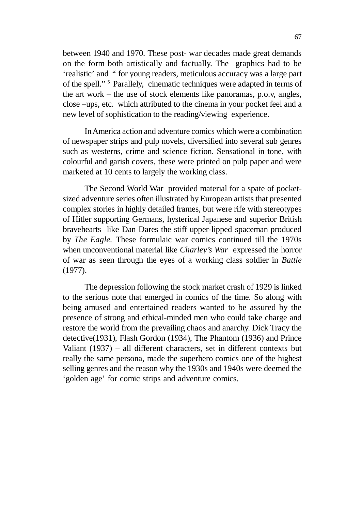between 1940 and 1970. These post- war decades made great demands on the form both artistically and factually. The graphics had to be 'realistic' and " for young readers, meticulous accuracy was a large part of the spell."<sup>5</sup> Parallely, cinematic techniques were adapted in terms of the art work – the use of stock elements like panoramas, p.o.v, angles, close –ups, etc. which attributed to the cinema in your pocket feel and a new level of sophistication to the reading/viewing experience.

In America action and adventure comics which were a combination of newspaper strips and pulp novels, diversified into several sub genres such as westerns, crime and science fiction. Sensational in tone, with colourful and garish covers, these were printed on pulp paper and were marketed at 10 cents to largely the working class.

The Second World War provided material for a spate of pocketsized adventure series often illustrated by European artists that presented complex stories in highly detailed frames, but were rife with stereotypes of Hitler supporting Germans, hysterical Japanese and superior British bravehearts like Dan Dares the stiff upper-lipped spaceman produced by *The Eagle.* These formulaic war comics continued till the 1970s when unconventional material like *Charley's War* expressed the horror of war as seen through the eyes of a working class soldier in *Battle* (1977).

The depression following the stock market crash of 1929 is linked to the serious note that emerged in comics of the time. So along with being amused and entertained readers wanted to be assured by the presence of strong and ethical-minded men who could take charge and restore the world from the prevailing chaos and anarchy. Dick Tracy the detective(1931), Flash Gordon (1934), The Phantom (1936) and Prince Valiant (1937) – all different characters, set in different contexts but really the same persona, made the superhero comics one of the highest selling genres and the reason why the 1930s and 1940s were deemed the 'golden age' for comic strips and adventure comics.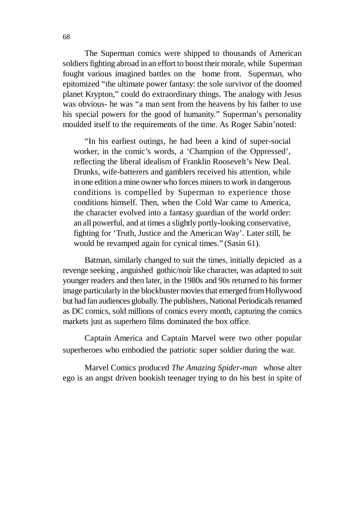The Superman comics were shipped to thousands of American soldiers fighting abroad in an effort to boost their morale, while Superman fought various imagined battles on the home front. Superman, who epitomized "the ultimate power fantasy: the sole survivor of the doomed planet Krypton," could do extraordinary things. The analogy with Jesus was obvious- he was "a man sent from the heavens by his father to use his special powers for the good of humanity." Superman's personality moulded itself to the requirements of the time. As Roger Sabin'noted:

"In his earliest outings, he had been a kind of super-social worker, in the comic's words, a 'Champion of the Oppressed', reflecting the liberal idealism of Franklin Roosevelt's New Deal. Drunks, wife-batterers and gamblers received his attention, while in one edition a mine owner who forces miners to work in dangerous conditions is compelled by Superman to experience those conditions himself. Then, when the Cold War came to America, the character evolved into a fantasy guardian of the world order: an all powerful, and at times a slightly portly-looking conservative, fighting for 'Truth, Justice and the American Way'. Later still, he would be revamped again for cynical times." (Sasin 61).

Batman, similarly changed to suit the times, initially depicted as a revenge seeking , anguished gothic/noir like character, was adapted to suit younger readers and then later, in the 1980s and 90s returned to his former image particularly in the blockbuster movies that emerged from Hollywood but had fan audiences globally. The publishers, National Periodicals renamed as DC comics, sold millions of comics every month, capturing the comics markets just as superhero films dominated the box office.

Captain America and Captain Marvel were two other popular superheroes who embodied the patriotic super soldier during the war.

Marvel Comics produced *The Amazing Spider-man* whose alter ego is an angst driven bookish teenager trying to do his best in spite of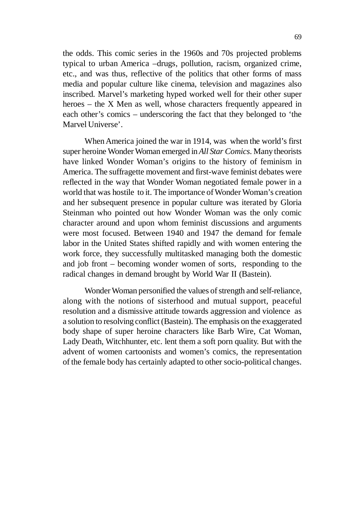the odds. This comic series in the 1960s and 70s projected problems typical to urban America –drugs, pollution, racism, organized crime, etc., and was thus, reflective of the politics that other forms of mass media and popular culture like cinema, television and magazines also inscribed. Marvel's marketing hyped worked well for their other super heroes – the X Men as well, whose characters frequently appeared in each other's comics – underscoring the fact that they belonged to 'the Marvel Universe'.

When America joined the war in 1914, was when the world's first super heroine Wonder Woman emerged in *All Star Comics*. Many theorists have linked Wonder Woman's origins to the history of feminism in America. The suffragette movement and first-wave feminist debates were reflected in the way that Wonder Woman negotiated female power in a world that was hostile to it. The importance of Wonder Woman's creation and her subsequent presence in popular culture was iterated by Gloria Steinman who pointed out how Wonder Woman was the only comic character around and upon whom feminist discussions and arguments were most focused. Between 1940 and 1947 the demand for female labor in the United States shifted rapidly and with women entering the work force, they successfully multitasked managing both the domestic and job front – becoming wonder women of sorts, responding to the radical changes in demand brought by World War II (Bastein).

Wonder Woman personified the values of strength and self-reliance, along with the notions of sisterhood and mutual support, peaceful resolution and a dismissive attitude towards aggression and violence as a solution to resolving conflict (Bastein). The emphasis on the exaggerated body shape of super heroine characters like Barb Wire, Cat Woman, Lady Death, Witchhunter, etc. lent them a soft porn quality. But with the advent of women cartoonists and women's comics, the representation of the female body has certainly adapted to other socio-political changes.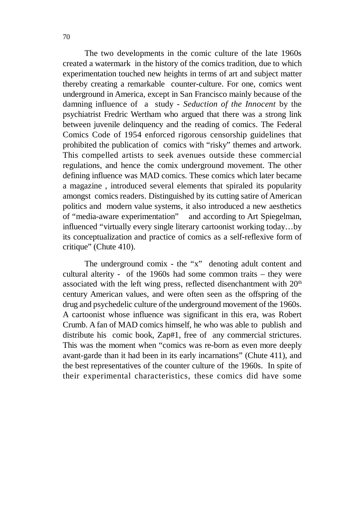The two developments in the comic culture of the late 1960s created a watermark in the history of the comics tradition, due to which experimentation touched new heights in terms of art and subject matter thereby creating a remarkable counter-culture. For one, comics went underground in America, except in San Francisco mainly because of the damning influence of a study - *Seduction of the Innocent* by the psychiatrist Fredric Wertham who argued that there was a strong link between juvenile delinquency and the reading of comics. The Federal Comics Code of 1954 enforced rigorous censorship guidelines that prohibited the publication of comics with "risky" themes and artwork. This compelled artists to seek avenues outside these commercial regulations, and hence the comix underground movement. The other defining influence was MAD comics. These comics which later became a magazine , introduced several elements that spiraled its popularity amongst comics readers. Distinguished by its cutting satire of American politics and modern value systems, it also introduced a new aesthetics of "media-aware experimentation" and according to Art Spiegelman, influenced "virtually every single literary cartoonist working today…by its conceptualization and practice of comics as a self-reflexive form of critique" (Chute 410).

The underground comix - the "x" denoting adult content and cultural alterity - of the 1960s had some common traits – they were associated with the left wing press, reflected disenchantment with  $20<sup>th</sup>$ century American values, and were often seen as the offspring of the drug and psychedelic culture of the underground movement of the 1960s. A cartoonist whose influence was significant in this era, was Robert Crumb. A fan of MAD comics himself, he who was able to publish and distribute his comic book, Zap#1, free of any commercial strictures. This was the moment when "comics was re-born as even more deeply avant-garde than it had been in its early incarnations" (Chute 411), and the best representatives of the counter culture of the 1960s. In spite of their experimental characteristics, these comics did have some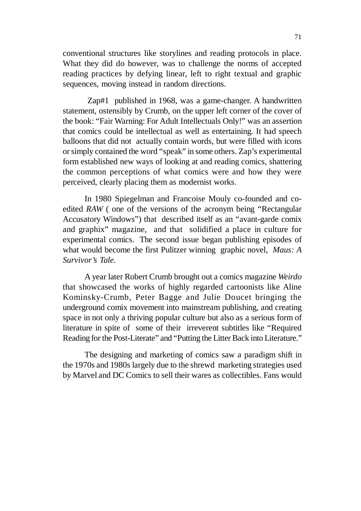conventional structures like storylines and reading protocols in place. What they did do however, was to challenge the norms of accepted reading practices by defying linear, left to right textual and graphic sequences, moving instead in random directions.

 Zap#1 published in 1968, was a game-changer. A handwritten statement, ostensibly by Crumb, on the upper left corner of the cover of the book: "Fair Warning: For Adult Intellectuals Only!" was an assertion that comics could be intellectual as well as entertaining. It had speech balloons that did not actually contain words, but were filled with icons or simply contained the word "speak" in some others. Zap's experimental form established new ways of looking at and reading comics, shattering the common perceptions of what comics were and how they were perceived, clearly placing them as modernist works.

In 1980 Spiegelman and Francoise Mouly co-founded and coedited *RAW* ( one of the versions of the acronym being "Rectangular Accusatory Windows") that described itself as an "avant-garde comix and graphix" magazine, and that solidified a place in culture for experimental comics. The second issue began publishing episodes of what would become the first Pulitzer winning graphic novel, *Maus: A Survivor's Tale.*

A year later Robert Crumb brought out a comics magazine *Weirdo* that showcased the works of highly regarded cartoonists like Aline Kominsky-Crumb, Peter Bagge and Julie Doucet bringing the underground comix movement into mainstream publishing, and creating space in not only a thriving popular culture but also as a serious form of literature in spite of some of their irreverent subtitles like "Required Reading for the Post-Literate" and "Putting the Litter Back into Literature."

The designing and marketing of comics saw a paradigm shift in the 1970s and 1980s largely due to the shrewd marketing strategies used by Marvel and DC Comics to sell their wares as collectibles. Fans would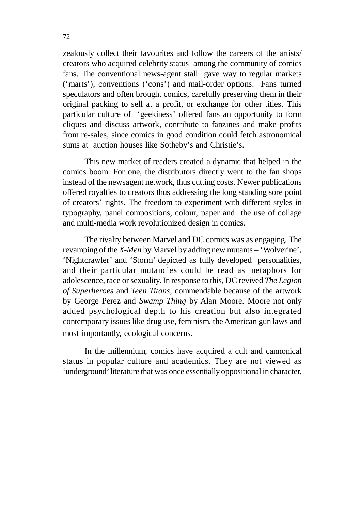zealously collect their favourites and follow the careers of the artists/ creators who acquired celebrity status among the community of comics fans. The conventional news-agent stall gave way to regular markets ('marts'), conventions ('cons') and mail-order options. Fans turned speculators and often brought comics, carefully preserving them in their original packing to sell at a profit, or exchange for other titles. This particular culture of 'geekiness' offered fans an opportunity to form cliques and discuss artwork, contribute to fanzines and make profits from re-sales, since comics in good condition could fetch astronomical sums at auction houses like Sotheby's and Christie's.

This new market of readers created a dynamic that helped in the comics boom. For one, the distributors directly went to the fan shops instead of the newsagent network, thus cutting costs. Newer publications offered royalties to creators thus addressing the long standing sore point of creators' rights. The freedom to experiment with different styles in typography, panel compositions, colour, paper and the use of collage and multi-media work revolutionized design in comics.

The rivalry between Marvel and DC comics was as engaging. The revamping of the *X-Men* by Marvel by adding new mutants – 'Wolverine', 'Nightcrawler' and 'Storm' depicted as fully developed personalities, and their particular mutancies could be read as metaphors for adolescence, race or sexuality. In response to this, DC revived *The Legion of Superheroes* and *Teen Titans,* commendable because of the artwork by George Perez and *Swamp Thing* by Alan Moore. Moore not only added psychological depth to his creation but also integrated contemporary issues like drug use, feminism, the American gun laws and most importantly, ecological concerns.

In the millennium, comics have acquired a cult and cannonical status in popular culture and academics. They are not viewed as 'underground' literature that was once essentially oppositional in character,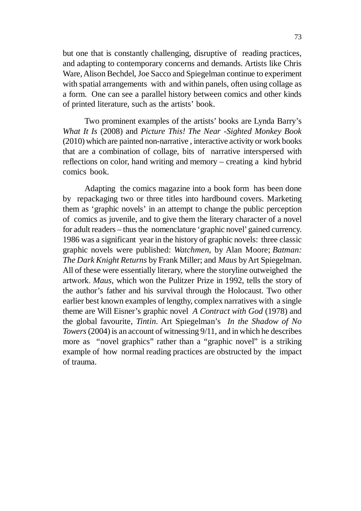but one that is constantly challenging, disruptive of reading practices, and adapting to contemporary concerns and demands. Artists like Chris Ware, Alison Bechdel, Joe Sacco and Spiegelman continue to experiment with spatial arrangements with and within panels, often using collage as a form. One can see a parallel history between comics and other kinds of printed literature, such as the artists' book.

Two prominent examples of the artists' books are Lynda Barry's *What It Is* (2008) and *Picture This! The Near -Sighted Monkey Book* (2010) which are painted non-narrative , interactive activity or work books that are a combination of collage, bits of narrative interspersed with reflections on color, hand writing and memory – creating a kind hybrid comics book.

Adapting the comics magazine into a book form has been done by repackaging two or three titles into hardbound covers. Marketing them as 'graphic novels' in an attempt to change the public perception of comics as juvenile, and to give them the literary character of a novel for adult readers – thus the nomenclature 'graphic novel' gained currency. 1986 was a significant year in the history of graphic novels: three classic graphic novels were published: *Watchmen*, by Alan Moore; *Batman: The Dark Knight Returns* by Frank Miller; and *Maus* by Art Spiegelman. All of these were essentially literary, where the storyline outweighed the artwork. *Maus*, which won the Pulitzer Prize in 1992, tells the story of the author's father and his survival through the Holocaust. Two other earlier best known examples of lengthy, complex narratives with a single theme are Will Eisner's graphic novel *A Contract with God* (1978) and the global favourite, *Tintin*. Art Spiegelman's *In the Shadow of No Towers* (2004) is an account of witnessing 9/11, and in which he describes more as "novel graphics" rather than a "graphic novel" is a striking example of how normal reading practices are obstructed by the impact of trauma.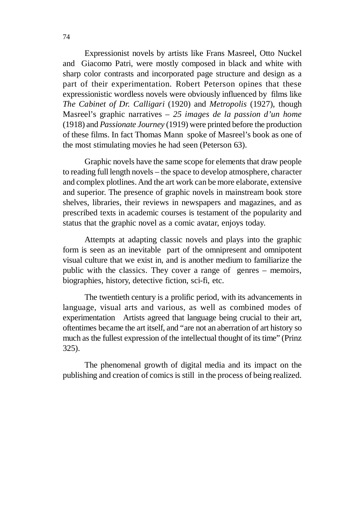Expressionist novels by artists like Frans Masreel, Otto Nuckel and Giacomo Patri, were mostly composed in black and white with sharp color contrasts and incorporated page structure and design as a part of their experimentation. Robert Peterson opines that these expressionistic wordless novels were obviously influenced by films like *The Cabinet of Dr. Calligari* (1920) and *Metropolis* (1927), though Masreel's graphic narratives – *25 images de la passion d'un home* (1918) and *Passionate Journey* (1919) were printed before the production of these films. In fact Thomas Mann spoke of Masreel's book as one of the most stimulating movies he had seen (Peterson 63).

Graphic novels have the same scope for elements that draw people to reading full length novels – the space to develop atmosphere, character and complex plotlines. And the art work can be more elaborate, extensive and superior. The presence of graphic novels in mainstream book store shelves, libraries, their reviews in newspapers and magazines, and as prescribed texts in academic courses is testament of the popularity and status that the graphic novel as a comic avatar, enjoys today.

Attempts at adapting classic novels and plays into the graphic form is seen as an inevitable part of the omnipresent and omnipotent visual culture that we exist in, and is another medium to familiarize the public with the classics. They cover a range of genres – memoirs, biographies, history, detective fiction, sci-fi, etc.

The twentieth century is a prolific period, with its advancements in language, visual arts and various, as well as combined modes of experimentation Artists agreed that language being crucial to their art, oftentimes became the art itself, and "are not an aberration of art history so much as the fullest expression of the intellectual thought of its time" (Prinz 325).

The phenomenal growth of digital media and its impact on the publishing and creation of comics is still in the process of being realized.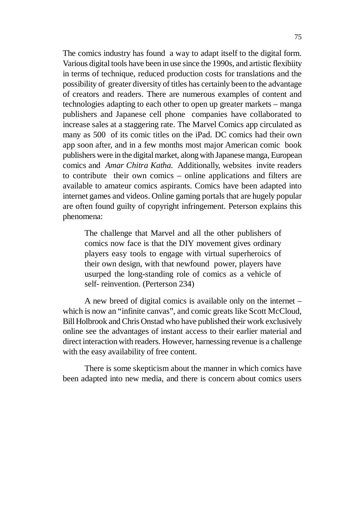The comics industry has found a way to adapt itself to the digital form. Various digital tools have been in use since the 1990s, and artistic flexibiity in terms of technique, reduced production costs for translations and the possibility of greater diversity of titles has certainly been to the advantage of creators and readers. There are numerous examples of content and technologies adapting to each other to open up greater markets – manga publishers and Japanese cell phone companies have collaborated to increase sales at a staggering rate. The Marvel Comics app circulated as many as 500 of its comic titles on the iPad. DC comics had their own app soon after, and in a few months most major American comic book publishers were in the digital market, along with Japanese manga, European comics and *Amar Chitra Katha.* Additionally, websites invite readers to contribute their own comics – online applications and filters are available to amateur comics aspirants. Comics have been adapted into internet games and videos. Online gaming portals that are hugely popular are often found guilty of copyright infringement. Peterson explains this phenomena:

The challenge that Marvel and all the other publishers of comics now face is that the DIY movement gives ordinary players easy tools to engage with virtual superheroics of their own design, with that newfound power, players have usurped the long-standing role of comics as a vehicle of self- reinvention. (Perterson 234)

A new breed of digital comics is available only on the internet – which is now an "infinite canvas", and comic greats like Scott McCloud, Bill Holbrook and Chris Onstad who have published their work exclusively online see the advantages of instant access to their earlier material and direct interaction with readers. However, harnessing revenue is a challenge with the easy availability of free content.

There is some skepticism about the manner in which comics have been adapted into new media, and there is concern about comics users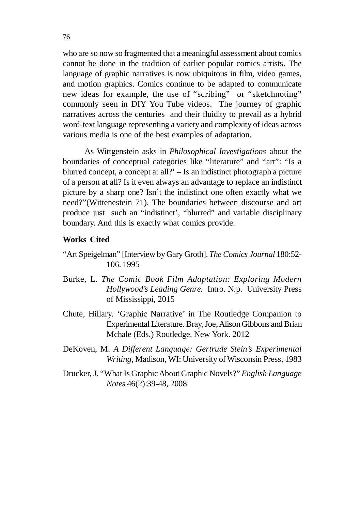who are so now so fragmented that a meaningful assessment about comics cannot be done in the tradition of earlier popular comics artists. The language of graphic narratives is now ubiquitous in film, video games, and motion graphics. Comics continue to be adapted to communicate new ideas for example, the use of "scribing" or "sketchnoting" commonly seen in DIY You Tube videos. The journey of graphic narratives across the centuries and their fluidity to prevail as a hybrid word-text language representing a variety and complexity of ideas across various media is one of the best examples of adaptation.

As Wittgenstein asks in *Philosophical Investigations* about the boundaries of conceptual categories like "literature" and "art": "Is a blurred concept, a concept at all?' – Is an indistinct photograph a picture of a person at all? Is it even always an advantage to replace an indistinct picture by a sharp one? Isn't the indistinct one often exactly what we need?"(Wittenestein 71). The boundaries between discourse and art produce just such an "indistinct', "blurred" and variable disciplinary boundary. And this is exactly what comics provide.

### **Works Cited**

- "Art Speigelman" [Interview by Gary Groth]. *The Comics Journal* 180:52- 106. 1995
- Burke, L. *The Comic Book Film Adaptation: Exploring Modern Hollywood's Leading Genre.* Intro. N.p. University Press of Mississippi, 2015
- Chute, Hillary. 'Graphic Narrative' in The Routledge Companion to Experimental Literature. Bray, Joe, Alison Gibbons and Brian Mchale (Eds.) Routledge. New York. 2012
- DeKoven, M. *A Different Language: Gertrude Stein's Experimental Writing*, Madison, WI: University of Wisconsin Press, 1983
- Drucker, J. "What Is Graphic About Graphic Novels?" *English Language Notes* 46(2):39-48, 2008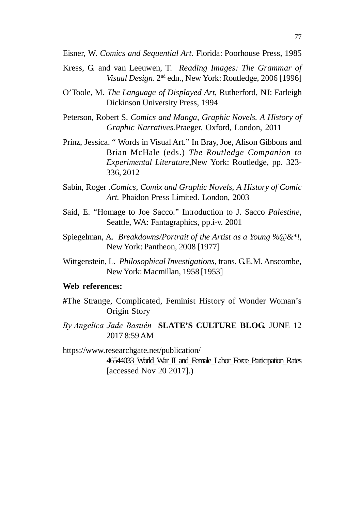Eisner, W. *Comics and Sequential Art*. Florida: Poorhouse Press, 1985

- Kress, G. and van Leeuwen, T. *Reading Images: The Grammar of Visual Design*. 2nd edn., New York: Routledge, 2006 [1996]
- O'Toole, M. *The Language of Displayed Art*, Rutherford, NJ: Farleigh Dickinson University Press, 1994
- Peterson, Robert S. *Comics and Manga, Graphic Novels. A History of Graphic Narratives.*Praeger. Oxford, London, 2011
- Prinz, Jessica. " Words in Visual Art." In Bray, Joe, Alison Gibbons and Brian McHale (eds.) *The Routledge Companion to Experimental Literature,*New York: Routledge, pp. 323- 336, 2012
- Sabin, Roger .*Comics, Comix and Graphic Novels, A History of Comic Art.* Phaidon Press Limited. London, 2003
- Said, E. "Homage to Joe Sacco." Introduction to J. Sacco *Palestine,* Seattle, WA: Fantagraphics, pp.i-v. 2001
- Spiegelman, A. *Breakdowns/Portrait of the Artist as a Young %@&\*!*, New York: Pantheon, 2008 [1977]
- Wittgenstein, L. *Philosophical Investigations*, trans. G.E.M. Anscombe, New York: Macmillan, 1958 [1953]

#### **Web references:**

- **#**The Strange, Complicated, Feminist History of Wonder Woman's Origin Story
- *By Angelica Jade Bastién*  **SLATE'S CULTURE BLOG.** JUNE 12 2017 8:59 AM

https://www.researchgate.net/publication/ 46544033\_World\_War\_II\_and\_Female\_Labor\_Force\_Participation\_Rates [accessed Nov 20 2017].)